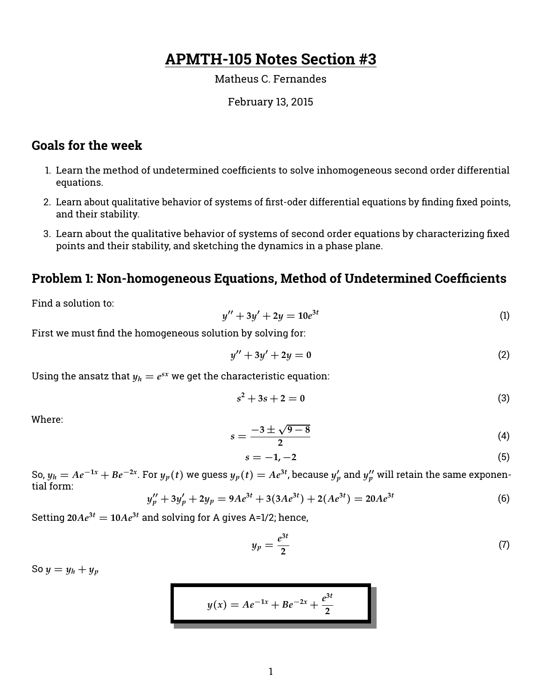# **APMTH-105 Notes Section #3**

#### Matheus C. Fernandes

#### February 13, 2015

# **Goals for the week**

- 1. Learn the method of undetermined coefficients to solve inhomogeneous second order differential equations.
- 2. Learn about qualitative behavior of systems of first-oder differential equations by finding fixed points, and their stability.
- 3. Learn about the qualitative behavior of systems of second order equations by characterizing fixed points and their stability, and sketching the dynamics in a phase plane.

# **Problem 1: Non-homogeneous Equations, Method of Undetermined Coefficients**

Find a solution to:

$$
y'' + 3y' + 2y = 10e^{3t}
$$
 (1)

First we must find the homogeneous solution by solving for:

$$
y'' + 3y' + 2y = 0 \tag{2}
$$

Using the ansatz that  $y_h = e^{sx}$  we get the characteristic equation:

$$
s^2 + 3s + 2 = 0 \tag{3}
$$

Where:

$$
s = \frac{-3 \pm \sqrt{9 - 8}}{2} \tag{4}
$$

$$
s = -1, -2 \tag{5}
$$

So,  $y_h=Ae^{-1x}+Be^{-2x}$ . For  $y_p(t)$  we guess  $y_p(t)=Ae^{3t}$ , because  $y_p'$  and  $y_p''$  will retain the same exponential form:

$$
y_p'' + 3y_p' + 2y_p = 9Ae^{3t} + 3(3Ae^{3t}) + 2(Ae^{3t}) = 20Ae^{3t}
$$
 (6)

Setting  $20Ae^{3t} = 10Ae^{3t}$  and solving for A gives A=1/2; hence,

$$
y_p = \frac{e^{3t}}{2} \tag{7}
$$

So  $y = y_h + y_p$ 

$$
y(x) = Ae^{-1x} + Be^{-2x} + \frac{e^{3t}}{2}
$$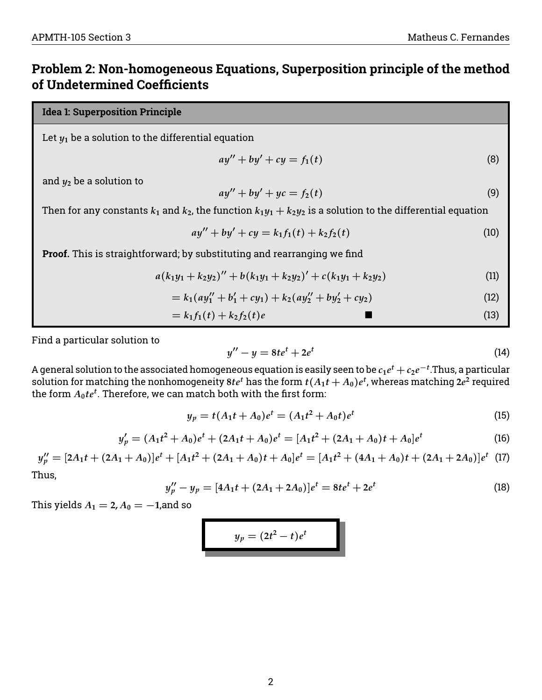# **Problem 2: Non-homogeneous Equations, Superposition principle of the method of Undetermined Coefficients**

### **Idea 1: Superposition Principle**

Let  $y_1$  be a solution to the differential equation

$$
ay'' + by' + cy = f_1(t) \tag{8}
$$

and  $y_2$  be a solution to

$$
ay'' + by' + yc = f_2(t) \tag{9}
$$

Then for any constants  $k_1$  and  $k_2$ , the function  $k_1y_1 + k_2y_2$  is a solution to the differential equation

$$
ay'' + by' + cy = k_1 f_1(t) + k_2 f_2(t)
$$
\n(10)

**Proof.** This is straightforward; by substituting and rearranging we find

$$
a(k_1y_1+k_2y_2)'' + b(k_1y_1+k_2y_2)' + c(k_1y_1+k_2y_2)
$$
\n(11)

$$
= k_1(ay_1'' + b_1' + cy_1) + k_2(ay_2'' + by_2' + cy_2)
$$
\n(12)

$$
=k_1f_1(t)+k_2f_2(t)e
$$
 (13)

Find a particular solution to

$$
y'' - y = 8te^t + 2e^t \tag{14}
$$

A general solution to the associated homogeneous equation is easily seen to be  $c_1e^t+c_2e^{-t}$ .Thus, a particular solution for matching the nonhomogeneity 8 $te^t$  has the form  $t(A_1t+A_0)e^t$ , whereas matching 2 $e^2$  required the form  $A_0t e^t$ . Therefore, we can match both with the first form:

$$
y_p = t(A_1t + A_0)e^t = (A_1t^2 + A_0t)e^t
$$
\n(15)

$$
y_p' = (A_1t^2 + A_0)e^t + (2A_1t + A_0)e^t = [A_1t^2 + (2A_1 + A_0)t + A_0]e^t
$$
\n(16)

 $y_p'' = [2A_1t + (2A_1 + A_0)]e^t + [A_1t^2 + (2A_1 + A_0)t + A_0]e^t = [A_1t^2 + (4A_1 + A_0)t + (2A_1 + 2A_0)]e^t$  (17) Thus,

$$
y_p'' - y_p = [4A_1t + (2A_1 + 2A_0)]e^t = 8te^t + 2e^t
$$
\n(18)

This yields  $A_1 = 2$ ,  $A_0 = -1$ , and so

$$
y_p=(2t^2-t)e^t
$$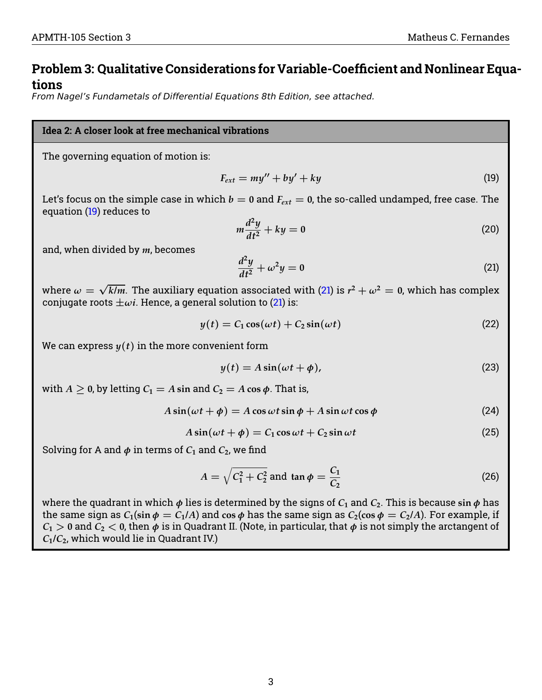# **Problem 3: Qualitative Considerations for Variable-Coefficient and Nonlinear Equations**

From Nagel's Fundametals of Differential Equations 8th Edition, see attached.

#### **Idea 2: A closer look at free mechanical vibrations**

The governing equation of motion is:

<span id="page-2-0"></span>
$$
F_{ext} = my'' + by' + ky \tag{19}
$$

Let's focus on the simple case in which  $b = 0$  and  $F_{ext} = 0$ , the so-called undamped, free case. The equation [\(19\)](#page-2-0) reduces to

$$
m\frac{d^2y}{dt^2} + ky = 0\tag{20}
$$

and, when divided by *m*, becomes

<span id="page-2-1"></span>
$$
\frac{d^2y}{dt^2} + \omega^2 y = 0\tag{21}
$$

where  $\omega =$ √  $\overline{k/m}.$  The auxiliary equation associated with [\(21\)](#page-2-1) is  $r^2+\omega^2=$  0, which has complex conjugate roots  $\pm \omega i$ . Hence, a general solution to [\(21\)](#page-2-1) is:

$$
y(t) = C_1 \cos(\omega t) + C_2 \sin(\omega t) \tag{22}
$$

We can express  $y(t)$  in the more convenient form

$$
y(t) = A\sin(\omega t + \phi),\tag{23}
$$

with  $A > 0$ , by letting  $C_1 = A \sin$  and  $C_2 = A \cos \phi$ . That is,

$$
A\sin(\omega t + \phi) = A\cos\omega t \sin\phi + A\sin\omega t \cos\phi \tag{24}
$$

$$
A\sin(\omega t + \phi) = C_1\cos\omega t + C_2\sin\omega t \tag{25}
$$

Solving for A and  $\phi$  in terms of  $C_1$  and  $C_2$ , we find

$$
A = \sqrt{C_1^2 + C_2^2} \text{ and } \tan \phi = \frac{C_1}{C_2}
$$
 (26)

where the quadrant in which  $\phi$  lies is determined by the signs of  $C_1$  and  $C_2$ . This is because  $\sin \phi$  has the same sign as  $C_1(\sin \phi = C_1/A)$  and  $\cos \phi$  has the same sign as  $C_2(\cos \phi = C_2/A)$ . For example, if  $C_1 > 0$  and  $C_2 < 0$ , then  $\phi$  is in Quadrant II. (Note, in particular, that  $\phi$  is not simply the arctangent of  $C_1/C_2$ , which would lie in Quadrant IV.)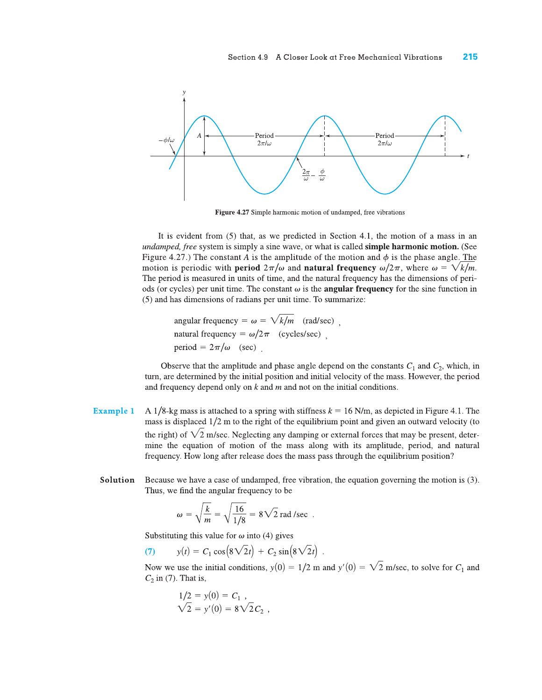

Figure 4.27 Simple harmonic motion of undamped, free vibrations

It is evident from (5) that, as we predicted in Section 4.1, the motion of a mass in an undamped, free system is simply a sine wave, or what is called simple harmonic motion. (See Figure 4.27.) The constant A is the amplitude of the motion and  $\phi$  is the phase angle. The motion is periodic with **period**  $2\pi/\omega$  and **natural frequency**  $\omega/2\pi$ , where  $\omega = \sqrt{k/m}$ . The period is measured in units of time, and the natural frequency has the dimensions of periods (or cycles) per unit time. The constant  $\omega$  is the **angular frequency** for the sine function in (5) and has dimensions of radians per unit time. To summarize:

angular frequency =  $\omega = \sqrt{k/m}$  (rad/sec). natural frequency =  $\omega/2\pi$  (cycles/sec). period =  $2\pi/\omega$  (sec).

Observe that the amplitude and phase angle depend on the constants  $C_1$  and  $C_2$ , which, in turn, are determined by the initial position and initial velocity of the mass. However, the period and frequency depend only on  $k$  and  $m$  and not on the initial conditions.

- **Example 1** A 1/8-kg mass is attached to a spring with stiffness  $k = 16$  N/m, as depicted in Figure 4.1. The mass is displaced  $1/2$  m to the right of the equilibrium point and given an outward velocity (to the right) of  $\sqrt{2}$  m/sec. Neglecting any damping or external forces that may be present, determine the equation of motion of the mass along with its amplitude, period, and natural frequency. How long after release does the mass pass through the equilibrium position?
	- Solution Because we have a case of undamped, free vibration, the equation governing the motion is (3). Thus, we find the angular frequency to be

$$
\omega = \sqrt{\frac{k}{m}} = \sqrt{\frac{16}{1/8}} = 8\sqrt{2} \text{ rad/sec}.
$$

Substituting this value for  $\omega$  into (4) gives

 $y(t) = C_1 \cos(8\sqrt{2}t) + C_2 \sin(8\sqrt{2}t)$ .  $(7)$ 

Now we use the initial conditions,  $y(0) = 1/2$  m and  $y'(0) = \sqrt{2}$  m/sec, to solve for  $C_1$  and  $C_2$  in (7). That is,

$$
1/2 = y(0) = C_1 ,\n\sqrt{2} = y'(0) = 8\sqrt{2}C_2
$$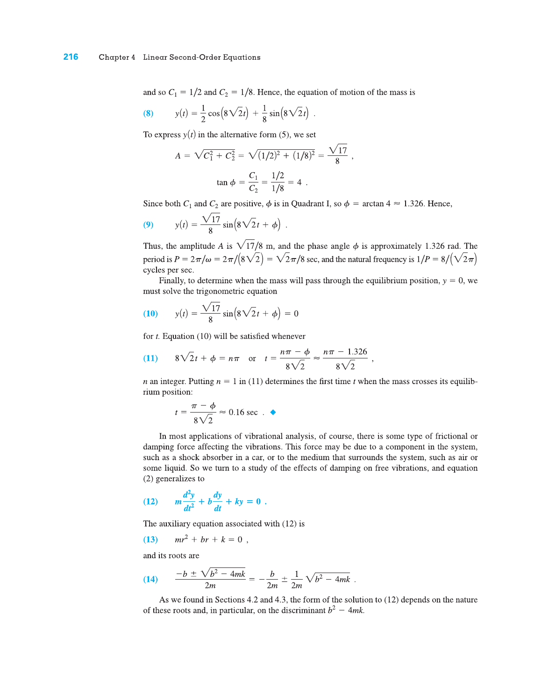and so  $C_1 = 1/2$  and  $C_2 = 1/8$ . Hence, the equation of motion of the mass is

(8) 
$$
y(t) = \frac{1}{2} \cos(8\sqrt{2}t) + \frac{1}{8} \sin(8\sqrt{2}t)
$$

To express  $y(t)$  in the alternative form (5), we set

$$
A = \sqrt{C_1^2 + C_2^2} = \sqrt{(1/2)^2 + (1/8)^2} = \frac{\sqrt{17}}{8}
$$

$$
\tan \phi = \frac{C_1}{C_2} = \frac{1/2}{1/8} = 4.
$$

Since both  $C_1$  and  $C_2$  are positive,  $\phi$  is in Quadrant I, so  $\phi$  = arctan 4  $\approx$  1.326. Hence,

(9) 
$$
y(t) = \frac{\sqrt{17}}{8} \sin(8\sqrt{2}t + \phi)
$$
.

Thus, the amplitude A is  $\sqrt{17}/8$  m, and the phase angle  $\phi$  is approximately 1.326 rad. The period is  $P = 2\pi/\omega = 2\pi/(8\sqrt{2}) = \sqrt{2}\pi/8$  sec, and the natural frequency is  $1/P = 8/(\sqrt{2}\pi)$ cycles per sec.

Finally, to determine when the mass will pass through the equilibrium position,  $y = 0$ , we must solve the trigonometric equation

(10) 
$$
y(t) = \frac{\sqrt{17}}{8} \sin(8\sqrt{2}t + \phi) = 0
$$

for  $t$ . Equation (10) will be satisfied whenever

(11) 
$$
8\sqrt{2}t + \phi = n\pi
$$
 or  $t = \frac{n\pi - \phi}{8\sqrt{2}} \approx \frac{n\pi - 1.326}{8\sqrt{2}}$ ,

*n* an integer. Putting  $n = 1$  in (11) determines the first time *t* when the mass crosses its equilibrium position:

$$
t = \frac{\pi - \phi}{8\sqrt{2}} \approx 0.16 \text{ sec.} \blacktriangleleft
$$

In most applications of vibrational analysis, of course, there is some type of frictional or damping force affecting the vibrations. This force may be due to a component in the system, such as a shock absorber in a car, or to the medium that surrounds the system, such as air or some liquid. So we turn to a study of the effects of damping on free vibrations, and equation (2) generalizes to

$$
(12) \qquad m\frac{d^2y}{dt^2} + b\frac{dy}{dt} + ky = 0.
$$

The auxiliary equation associated with (12) is

(13) 
$$
mr^2 + br + k = 0
$$
,

and its roots are

(14) 
$$
\frac{-b \pm \sqrt{b^2 - 4mk}}{2m} = -\frac{b}{2m} \pm \frac{1}{2m} \sqrt{b^2 - 4mk}.
$$

As we found in Sections 4.2 and 4.3, the form of the solution to  $(12)$  depends on the nature of these roots and, in particular, on the discriminant  $b^2 - 4mk$ .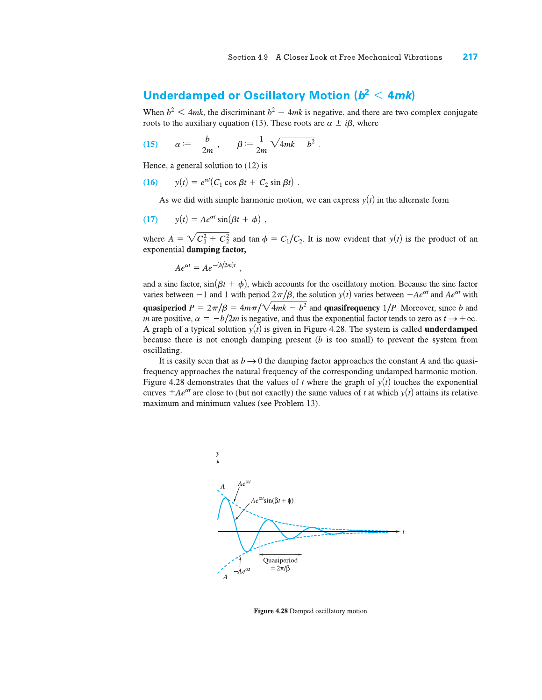# Underdamped or Oscillatory Motion ( $b^2 < 4mk$ )

When  $b^2 \leq 4mk$ , the discriminant  $b^2 - 4mk$  is negative, and there are two complex conjugate roots to the auxiliary equation (13). These roots are  $\alpha \pm i\beta$ , where

(15) 
$$
\alpha = -\frac{b}{2m}, \qquad \beta = \frac{1}{2m} \sqrt{4mk - b^2}
$$

Hence, a general solution to  $(12)$  is

 $y(t) = e^{\alpha t} (C_1 \cos \beta t + C_2 \sin \beta t)$ .  $(16)$ 

As we did with simple harmonic motion, we can express  $y(t)$  in the alternate form

$$
(17) \t y(t) = Ae^{\alpha t} \sin(\beta t + \phi) ,
$$

where  $A = \sqrt{C_1^2 + C_2^2}$  and  $\tan \phi = C_1/C_2$ . It is now evident that  $y(t)$  is the product of an exponential damping factor,

$$
Ae^{\alpha t}=Ae^{-(b/2m)t}.
$$

and a sine factor,  $sin(\beta t + \phi)$ , which accounts for the oscillatory motion. Because the sine factor varies between  $-1$  and 1 with period  $2\pi/\beta$ , the solution  $y(t)$  varies between  $-Ae^{\alpha t}$  and  $Ae^{\alpha t}$  with quasiperiod  $P = 2\pi/\beta = 4m\pi/\sqrt{4mk - b^2}$  and quasifrequency 1/*P*. Moreover, since b and m are positive,  $\alpha = -b/2m$  is negative, and thus the exponential factor tends to zero as  $t \to +\infty$ . A graph of a typical solution  $y(t)$  is given in Figure 4.28. The system is called **underdamped** because there is not enough damping present  $(b$  is too small) to prevent the system from oscillating.

It is easily seen that as  $b \rightarrow 0$  the damping factor approaches the constant A and the quasifrequency approaches the natural frequency of the corresponding undamped harmonic motion. Figure 4.28 demonstrates that the values of t where the graph of  $y(t)$  touches the exponential curves  $\pm Ae^{\alpha t}$  are close to (but not exactly) the same values of t at which  $y(t)$  attains its relative maximum and minimum values (see Problem 13).



Figure 4.28 Damped oscillatory motion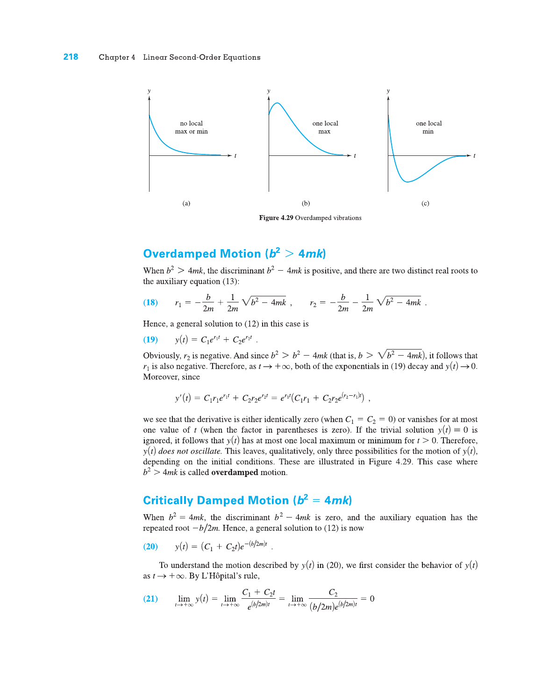

# **Overdamped Motion (** $b^2 > 4mk$ **)**

When  $b^2 > 4mk$ , the discriminant  $b^2 - 4mk$  is positive, and there are two distinct real roots to the auxiliary equation (13):

(18) 
$$
r_1 = -\frac{b}{2m} + \frac{1}{2m}\sqrt{b^2 - 4mk}
$$
,  $r_2 = -\frac{b}{2m} - \frac{1}{2m}\sqrt{b^2 - 4mk}$ 

Hence, a general solution to  $(12)$  in this case is

(19) 
$$
y(t) = C_1 e^{r_1 t} + C_2 e^{r_2 t}
$$
.

Obviously,  $r_2$  is negative. And since  $b^2 > b^2 - 4mk$  (that is,  $b > \sqrt{b^2 - 4mk}$ ), it follows that  $r_1$  is also negative. Therefore, as  $t \to +\infty$ , both of the exponentials in (19) decay and  $y(t) \to 0$ . Moreover, since

$$
y'(t) = C_1r_1e^{r_1t} + C_2r_2e^{r_2t} = e^{r_1t}(C_1r_1 + C_2r_2e^{(r_2-r_1)t}) ,
$$

we see that the derivative is either identically zero (when  $C_1 = C_2 = 0$ ) or vanishes for at most one value of t (when the factor in parentheses is zero). If the trivial solution  $y(t) \equiv 0$  is ignored, it follows that  $y(t)$  has at most one local maximum or minimum for  $t > 0$ . Therefore,  $y(t)$  does not oscillate. This leaves, qualitatively, only three possibilities for the motion of  $y(t)$ , depending on the initial conditions. These are illustrated in Figure 4.29. This case where  $b<sup>2</sup>$  > 4*mk* is called **overdamped** motion.

## **Critically Damped Motion (** $b^2 = 4mk$ **)**

When  $b^2 = 4mk$ , the discriminant  $b^2 - 4mk$  is zero, and the auxiliary equation has the repeated root  $-b/2m$ . Hence, a general solution to (12) is now

(20) 
$$
y(t) = (C_1 + C_2 t)e^{-(b/2m)t}
$$

To understand the motion described by  $y(t)$  in (20), we first consider the behavior of  $y(t)$ as  $t \rightarrow +\infty$ . By L'Hôpital's rule,

(21) 
$$
\lim_{t \to +\infty} y(t) = \lim_{t \to +\infty} \frac{C_1 + C_2 t}{e^{(b/2m)t}} = \lim_{t \to +\infty} \frac{C_2}{(b/2m)e^{(b/2m)t}} = 0
$$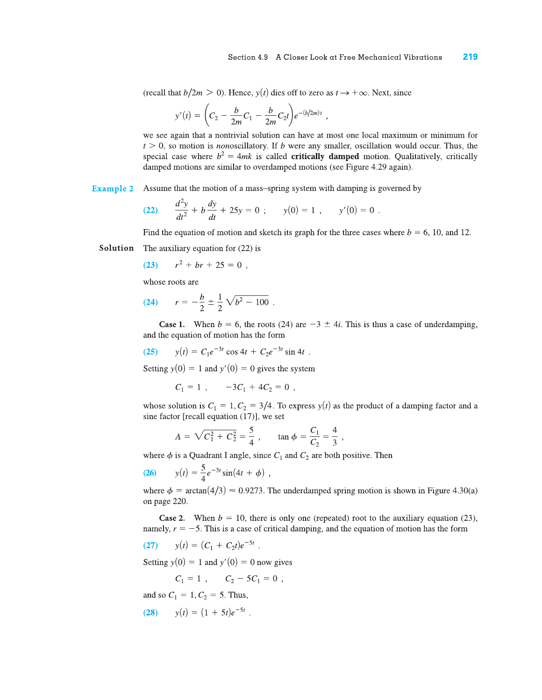(recall that  $b/2m > 0$ ). Hence,  $y(t)$  dies off to zero as  $t \to +\infty$ . Next, since

$$
y'(t) = \left(C_2 - \frac{b}{2m}C_1 - \frac{b}{2m}C_2t\right)e^{-(b/2m)t}.
$$

we see again that a nontrivial solution can have at most one local maximum or minimum for  $t > 0$ , so motion is *nonoscillatory*. If b were any smaller, oscillation would occur. Thus, the special case where  $b^2 = 4mk$  is called **critically damped** motion. Qualitatively, critically damped motions are similar to overdamped motions (see Figure 4.29 again).

#### **Example 2** Assume that the motion of a mass-spring system with damping is governed by

(22) 
$$
\frac{d^2y}{dt^2} + b\frac{dy}{dt} + 25y = 0 ; \qquad y(0) = 1 , \qquad y'(0) = 0
$$

Find the equation of motion and sketch its graph for the three cases where  $b = 6, 10,$  and 12.

Solution The auxiliary equation for  $(22)$  is

$$
(23) \t r^2 + br + 25 = 0 ,
$$

whose roots are

(24) 
$$
r = -\frac{b}{2} \pm \frac{1}{2} \sqrt{b^2 - 100}.
$$

**Case 1.** When  $b = 6$ , the roots (24) are  $-3 \pm 4i$ . This is thus a case of underdamping, and the equation of motion has the form

(25) 
$$
y(t) = C_1 e^{-3t} \cos 4t + C_2 e^{-3t} \sin 4t
$$

Setting  $y(0) = 1$  and  $y'(0) = 0$  gives the system

$$
C_1 = 1 , -3C_1 + 4C_2 = 0 ,
$$

whose solution is  $C_1 = 1, C_2 = 3/4$ . To express  $y(t)$  as the product of a damping factor and a sine factor [recall equation (17)], we set

$$
A = \sqrt{C_1^2 + C_2^2} = \frac{5}{4}, \qquad \tan \phi = \frac{C_1}{C_2} = \frac{4}{3},
$$

where  $\phi$  is a Quadrant I angle, since  $C_1$  and  $C_2$  are both positive. Then

(26) 
$$
y(t) = \frac{5}{4}e^{-3t}\sin(4t + \phi)
$$

where  $\phi = \arctan(4/3) \approx 0.9273$ . The underdamped spring motion is shown in Figure 4.30(a) on page 220.

**Case 2.** When  $b = 10$ , there is only one (repeated) root to the auxiliary equation (23), namely,  $r = -5$ . This is a case of critical damping, and the equation of motion has the form

(27) 
$$
y(t) = (C_1 + C_2 t)e^{-5t}
$$

Setting  $y(0) = 1$  and  $y'(0) = 0$  now gives

$$
C_1 = 1 , \qquad C_2 - 5C_1 = 0 ,
$$

and so  $C_1 = 1, C_2 = 5$ . Thus,

(28) 
$$
y(t) = (1 + 5t)e^{-5t}
$$